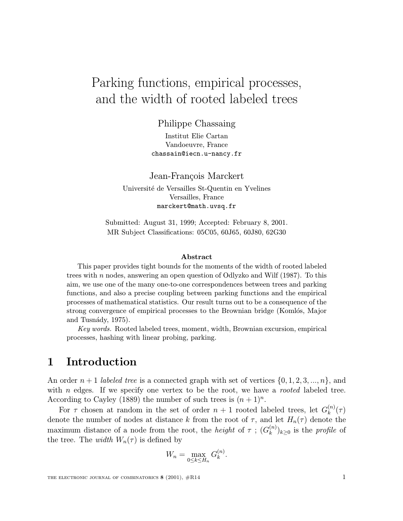# Parking functions, empirical processes, and the width of rooted labeled trees

Philippe Chassaing

Institut Elie Cartan Vandoeuvre, France chassain@iecn.u-nancy.fr

Jean-François Marckert

Université de Versailles St-Quentin en Yvelines Versailles, France marckert@math.uvsq.fr

Submitted: August 31, 1999; Accepted: February 8, 2001. MR Subject Classifications: 05C05, 60J65, 60J80, 62G30

#### Abstract

This paper provides tight bounds for the moments of the width of rooted labeled trees with n nodes, answering an open question of Odlyzko and Wilf (1987). To this aim, we use one of the many one-to-one correspondences between trees and parking functions, and also a precise coupling between parking functions and the empirical processes of mathematical statistics. Our result turns out to be a consequence of the strong convergence of empirical processes to the Brownian bridge (Komlós, Major and Tusnády, 1975).

Key words. Rooted labeled trees, moment, width, Brownian excursion, empirical processes, hashing with linear probing, parking.

## 1 Introduction

An order  $n+1$  labeled tree is a connected graph with set of vertices  $\{0, 1, 2, 3, ..., n\}$ , and with  $n$  edges. If we specify one vertex to be the root, we have a *rooted* labeled tree. According to Cayley (1889) the number of such trees is  $(n+1)^n$ .

For  $\tau$  chosen at random in the set of order  $n+1$  rooted labeled trees, let  $G_k^{(n)}(\tau)$ denote the number of nodes at distance k from the root of  $\tau$ , and let  $H_n(\tau)$  denote the maximum distance of a node from the root, the *height* of  $\tau$ ;  $(G_k^{(n)})_{k\geq 0}$  is the *profile* of the tree. The *width*  $W_n(\tau)$  is defined by

$$
W_n = \max_{0 \le k \le H_n} G_k^{(n)}.
$$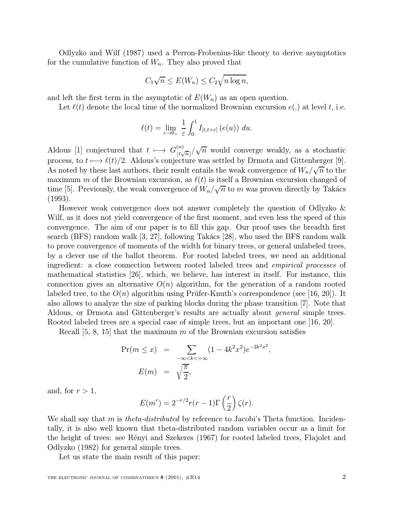Odlyzko and Wilf (1987) used a Perron-Frobenius-like theory to derive asymptotics for the cumulative function of  $W_n$ . They also proved that

$$
C_1\sqrt{n} \le E(W_n) \le C_2\sqrt{n\log n},
$$

and left the first term in the asymptotic of  $E(W_n)$  as an open question.

Let  $\ell(t)$  denote the local time of the normalized Brownian excursion  $e(.)$  at level t, i.e.

$$
\ell(t) = \lim_{\varepsilon \to 0+} \frac{1}{\varepsilon} \int_0^1 I_{[t,t+\varepsilon]}(e(u)) \ du.
$$

Aldous [1] conjectured that  $t \mapsto G_{\lfloor t\sqrt{n} \rfloor}^{(n)}/\sqrt{n}$  would converge weakly, as a stochastic process, to  $t \mapsto \ell(t)/2$ . Aldous's conjecture was settled by Drmota and Gittenberger [9]. process, to  $t \mapsto \ell(t)/2$ . Allows subjecture was settled by Drinota and Gittenberger [3].<br>As noted by these last authors, their result entails the weak convergence of  $W_n/\sqrt{n}$  to the maximum m of the Brownian excursion, as  $\ell(t)$  is itself a Brownian excursion changed of  $t$  time [5]. Previously, the weak convergence of  $W_n/\sqrt{n}$  to m was proven directly by Takács (1993).

However weak convergence does not answer completely the question of Odlyzko & Wilf, as it does not yield convergence of the first moment, and even less the speed of this convergence. The aim of our paper is to fill this gap. Our proof uses the breadth first search (BFS) random walk  $[3, 27]$ , following Takács  $[28]$ , who used the BFS random walk to prove convergence of moments of the width for binary trees, or general unlabeled trees, by a clever use of the ballot theorem. For rooted labeled trees, we need an additional ingredient: a close connection between rooted labeled trees and empirical processes of mathematical statistics [26], which, we believe, has interest in itself. For instance, this connection gives an alternative  $O(n)$  algorithm, for the generation of a random rooted labeled tree, to the  $O(n)$  algorithm using Prüfer-Knuth's correspondence (see [16, 20]). It also allows to analyze the size of parking blocks during the phase transition [7]. Note that Aldous, or Drmota and Gittenberger's results are actually about general simple trees. Rooted labeled trees are a special case of simple trees, but an important one  $[16, 20]$ .

Recall  $[5, 8, 15]$  that the maximum m of the Brownian excursion satisfies

$$
\Pr(m \le x) = \sum_{-\infty < k < +\infty} (1 - 4k^2 x^2) e^{-2k^2 x^2},
$$
\n
$$
E(m) = \sqrt{\frac{\pi}{2}},
$$

and, for  $r > 1$ ,

$$
E(m^{r}) = 2^{-r/2}r(r-1)\Gamma\left(\frac{r}{2}\right)\zeta(r).
$$

We shall say that m is *theta-distributed* by reference to Jacobi's Theta function. Incidentally, it is also well known that theta-distributed random variables occur as a limit for the height of trees: see Rényi and Szekeres (1967) for rooted labeled trees, Flajolet and Odlyzko (1982) for general simple trees.

Let us state the main result of this paper: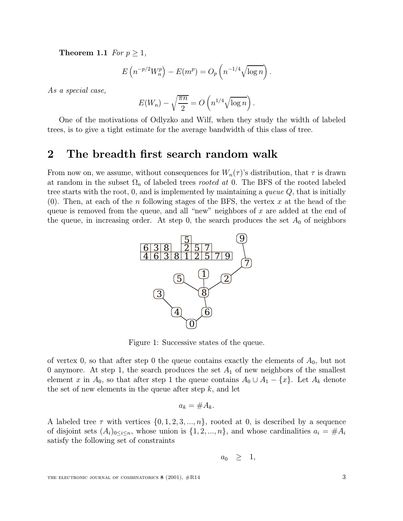**Theorem 1.1** For  $p \geq 1$ ,

$$
E\left(n^{-p/2}W_n^p\right) - E(m^p) = O_p\left(n^{-1/4}\sqrt{\log n}\right).
$$

As a special case,

$$
E(W_n) - \sqrt{\frac{\pi n}{2}} = O\left(n^{1/4}\sqrt{\log n}\right).
$$

One of the motivations of Odlyzko and Wilf, when they study the width of labeled trees, is to give a tight estimate for the average bandwidth of this class of tree.

### 2 The breadth first search random walk

From now on, we assume, without consequences for  $W_n(\tau)$ 's distribution, that  $\tau$  is drawn at random in the subset  $\Omega_n$  of labeled trees *rooted at* 0. The BFS of the rooted labeled tree starts with the root,  $0$ , and is implemented by maintaining a *queue Q*, that is initially (0). Then, at each of the n following stages of the BFS, the vertex x at the head of the queue is removed from the queue, and all "new" neighbors of  $x$  are added at the end of the queue, in increasing order. At step 0, the search produces the set  $A_0$  of neighbors



Figure 1: Successive states of the queue.

of vertex 0, so that after step 0 the queue contains exactly the elements of  $A_0$ , but not 0 anymore. At step 1, the search produces the set  $A_1$  of new neighbors of the smallest element x in  $A_0$ , so that after step 1 the queue contains  $A_0 \cup A_1 - \{x\}$ . Let  $A_k$  denote the set of new elements in the queue after step  $k$ , and let

$$
a_k = \#A_k.
$$

A labeled tree  $\tau$  with vertices  $\{0, 1, 2, 3, ..., n\}$ , rooted at 0, is described by a sequence of disjoint sets  $(A_i)_{0 \leq i \leq n}$ , whose union is  $\{1, 2, ..., n\}$ , and whose cardinalities  $a_i = \#A_i$ satisfy the following set of constraints

$$
a_0 \geq 1,
$$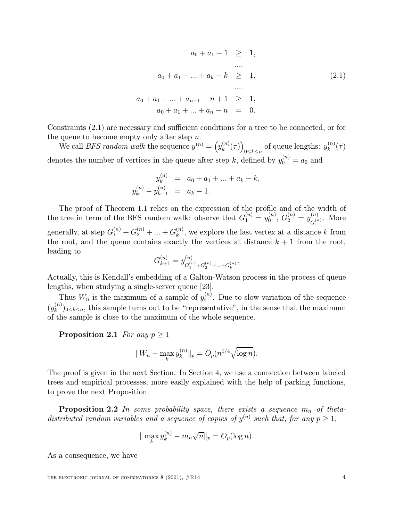$$
a_0 + a_1 - 1 \geq 1,
$$
  
\n...  
\n
$$
a_0 + a_1 + \dots + a_k - k \geq 1,
$$
  
\n...  
\n
$$
a_0 + a_1 + \dots + a_{n-1} - n + 1 \geq 1,
$$
  
\n
$$
a_0 + a_1 + \dots + a_n - n = 0.
$$
  
\n(2.1)

Constraints (2.1) are necessary and sufficient conditions for a tree to be connected, or for the queue to become empty only after step  $n$ .

We call *BFS random walk* the sequence  $y^{(n)} = (y_k^{(n)}(\tau))_{0 \le k \le n}$  of queue lengths:  $y_k^{(n)}(\tau)$ denotes the number of vertices in the queue after step k, defined by  $y_0^{(n)} = a_0$  and

$$
y_k^{(n)} = a_0 + a_1 + \dots + a_k - k,
$$
  

$$
y_k^{(n)} - y_{k-1}^{(n)} = a_k - 1.
$$

The proof of Theorem 1.1 relies on the expression of the profile and of the width of the tree in term of the BFS random walk: observe that  $G_1^{(n)} = y_0^{(n)}$ ,  $G_2^{(n)} = y_{G_1^{(n)}}^{(n)}$ . More generally, at step  $G_1^{(n)} + G_2^{(n)} + \ldots + G_k^{(n)}$ , we explore the last vertex at a distance k from the root, and the queue contains exactly the vertices at distance  $k + 1$  from the root, leading to

$$
G_{k+1}^{(n)} = y_{G_1^{(n)} + G_2^{(n)} + \ldots + G_k^{(n)}}^{(n)}.
$$

Actually, this is Kendall's embedding of a Galton-Watson process in the process of queue lengths, when studying a single-server queue [23].

Thus  $W_n$  is the maximum of a sample of  $y_i^{(n)}$ . Due to slow variation of the sequence  $(y_k^{(n)})_{0\leq k\leq n}$ , this sample turns out to be "representative", in the sense that the maximum of the sample is close to the maximum of the whole sequence.

**Proposition 2.1** For any  $p \geq 1$ 

$$
||W_n - \max_k y_k^{(n)}||_p = O_p(n^{1/4}\sqrt{\log n}).
$$

The proof is given in the next Section. In Section 4, we use a connection between labeled trees and empirical processes, more easily explained with the help of parking functions, to prove the next Proposition.

**Proposition 2.2** In some probability space, there exists a sequence  $m_n$  of thetadistributed random variables and a sequence of copies of  $y^{(n)}$  such that, for any  $p \geq 1$ ,

$$
\|\max_{k} y_{k}^{(n)} - m_{n}\sqrt{n}\|_{p} = O_{p}(\log n).
$$

As a consequence, we have

THE ELECTRONIC JOURNAL OF COMBINATORICS  $8(2001)$ ,  $\#R14$   $4$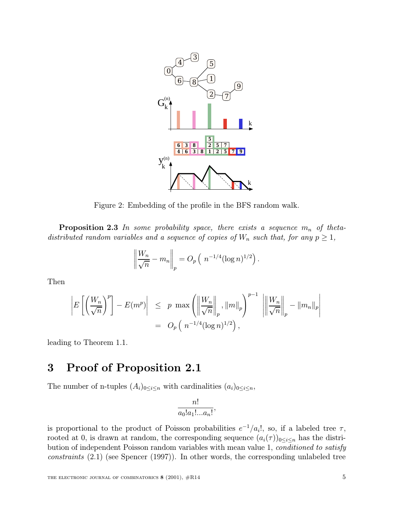

Figure 2: Embedding of the profile in the BFS random walk.

**Proposition 2.3** In some probability space, there exists a sequence  $m_n$  of thetadistributed random variables and a sequence of copies of  $W_n$  such that, for any  $p \geq 1$ ,

$$
\left\| \frac{W_n}{\sqrt{n}} - m_n \right\|_p = O_p\left( n^{-1/4} (\log n)^{1/2} \right).
$$

Then

$$
\left| E\left[ \left( \frac{W_n}{\sqrt{n}} \right)^p \right] - E(m^p) \right| \leq p \max \left( \left\| \frac{W_n}{\sqrt{n}} \right\|_p, \left\| m \right\|_p \right)^{p-1} \left\| \left\| \frac{W_n}{\sqrt{n}} \right\|_p - \left\| m_n \right\|_p \right|
$$
  
=  $O_p \left( n^{-1/4} (\log n)^{1/2} \right),$ 

leading to Theorem 1.1.

# 3 Proof of Proposition 2.1

The number of n-tuples  $(A_i)_{0 \leq i \leq n}$  with cardinalities  $(a_i)_{0 \leq i \leq n}$ ,

$$
\frac{n!}{a_0!a_1!...a_n!},
$$

is proportional to the product of Poisson probabilities  $e^{-1}/a_i!$ , so, if a labeled tree  $\tau$ , rooted at 0, is drawn at random, the corresponding sequence  $(a_i(\tau))_{0\leq i\leq n}$  has the distribution of independent Poisson random variables with mean value 1, *conditioned to satisfy* constraints (2.1) (see Spencer (1997)). In other words, the corresponding unlabeled tree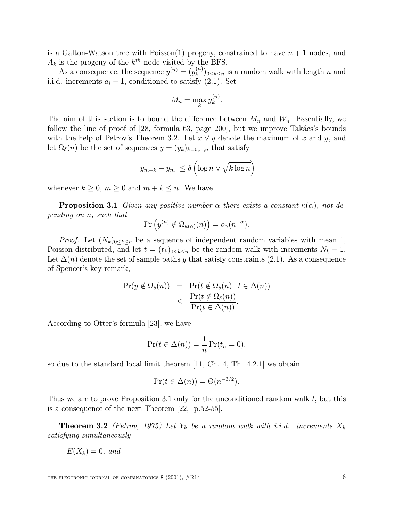is a Galton-Watson tree with Poisson(1) progeny, constrained to have  $n + 1$  nodes, and  $A_k$  is the progeny of the  $k^{th}$  node visited by the BFS.

As a consequence, the sequence  $y^{(n)} = (y_k^{(n)})_{0 \le k \le n}$  is a random walk with length n and i.i.d. increments  $a_i - 1$ , conditioned to satisfy (2.1). Set

$$
M_n = \max_k y_k^{(n)}.
$$

The aim of this section is to bound the difference between  $M_n$  and  $W_n$ . Essentially, we follow the line of proof of  $[28, \text{ formula } 63, \text{ page } 200]$ , but we improve Takács's bounds with the help of Petrov's Theorem 3.2. Let  $x \vee y$  denote the maximum of x and y, and let  $\Omega_{\delta}(n)$  be the set of sequences  $y = (y_k)_{k=0,\dots,n}$  that satisfy

$$
|y_{m+k} - y_m| \le \delta \left( \log n \vee \sqrt{k \log n} \right)
$$

whenever  $k \geq 0$ ,  $m \geq 0$  and  $m + k \leq n$ . We have

**Proposition 3.1** Given any positive number  $\alpha$  there exists a constant  $\kappa(\alpha)$ , not depending on n, such that

$$
\Pr\left(y^{(n)} \notin \Omega_{\kappa(\alpha)}(n)\right) = o_{\alpha}(n^{-\alpha}).
$$

*Proof.* Let  $(N_k)_{0 \leq k \leq n}$  be a sequence of independent random variables with mean 1, Poisson-distributed, and let  $t = (t_k)_{0 \leq k \leq n}$  be the random walk with increments  $N_k - 1$ . Let  $\Delta(n)$  denote the set of sample paths y that satisfy constraints (2.1). As a consequence of Spencer's key remark,

$$
\begin{array}{rcl}\n\Pr(y \notin \Omega_{\delta}(n)) & = & \Pr(t \notin \Omega_{\delta}(n) \mid t \in \Delta(n)) \\
& \leq & \frac{\Pr(t \notin \Omega_{\delta}(n))}{\Pr(t \in \Delta(n))}.\n\end{array}
$$

According to Otter's formula [23], we have

$$
\Pr(t \in \Delta(n)) = \frac{1}{n} \Pr(t_n = 0),
$$

so due to the standard local limit theorem [11, Ch. 4, Th. 4.2.1] we obtain

$$
\Pr(t \in \Delta(n)) = \Theta(n^{-3/2}).
$$

Thus we are to prove Proposition 3.1 only for the unconditioned random walk t, but this is a consequence of the next Theorem [22, p.52-55].

**Theorem 3.2** (Petrov, 1975) Let  $Y_k$  be a random walk with i.i.d. increments  $X_k$ satisfying simultaneously

-  $E(X_k)=0$ , and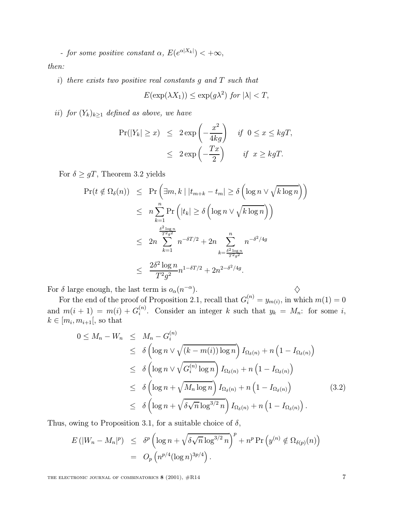- for some positive constant  $\alpha$ ,  $E(e^{\alpha |X_k|}) < +\infty$ ,

then:

i) there exists two positive real constants g and T such that

$$
E(\exp(\lambda X_1)) \le \exp(g\lambda^2) \text{ for } |\lambda| < T,
$$

ii) for  $(Y_k)_{k\geq 1}$  defined as above, we have

$$
\begin{array}{rcl}\n\Pr(|Y_k| \geq x) & \leq & 2 \exp\left(-\frac{x^2}{4kg}\right) & \text{if} \ \ 0 \leq x \leq kgT, \\
& \leq & 2 \exp\left(-\frac{Tx}{2}\right) & \text{if} \ \ x \geq kgT.\n\end{array}
$$

For  $\delta \geq gT$ , Theorem 3.2 yields

$$
\Pr(t \notin \Omega_{\delta}(n)) \leq \Pr\left(\exists m, k \mid |t_{m+k} - t_m| \geq \delta\left(\log n \vee \sqrt{k \log n}\right)\right)
$$
  

$$
\leq n \sum_{k=1}^{n} \Pr\left(|t_k| \geq \delta\left(\log n \vee \sqrt{k \log n}\right)\right)
$$
  

$$
\leq 2n \sum_{k=1}^{\frac{\delta^2 \log n}{T^2 g^2}} n^{-\delta T/2} + 2n \sum_{k=\frac{\delta^2 \log n}{T^2 g^2}}^n n^{-\delta^2/4g}
$$
  

$$
\leq \frac{2\delta^2 \log n}{T^2 g^2} n^{1 - \delta T/2} + 2n^{2 - \delta^2/4g}.
$$

For  $\delta$  large enough, the last term is  $o_{\alpha}(n^{-\alpha})$ .  $\diamondsuit$ 

For the end of the proof of Proposition 2.1, recall that  $G_i^{(n)} = y_{m(i)}$ , in which  $m(1) = 0$ and  $m(i + 1) = m(i) + G_i^{(n)}$ . Consider an integer k such that  $y_k = M_n$ : for some i,  $k \in [m_i, m_{i+1}],$  so that

$$
0 \leq M_n - W_n \leq M_n - G_i^{(n)}
$$
  
\n
$$
\leq \delta \left( \log n \vee \sqrt{(k - m(i)) \log n} \right) I_{\Omega_{\delta}(n)} + n \left( 1 - I_{\Omega_{\delta}(n)} \right)
$$
  
\n
$$
\leq \delta \left( \log n \vee \sqrt{G_i^{(n)} \log n} \right) I_{\Omega_{\delta}(n)} + n \left( 1 - I_{\Omega_{\delta}(n)} \right)
$$
  
\n
$$
\leq \delta \left( \log n + \sqrt{M_n \log n} \right) I_{\Omega_{\delta}(n)} + n \left( 1 - I_{\Omega_{\delta}(n)} \right)
$$
  
\n
$$
\leq \delta \left( \log n + \sqrt{\delta \sqrt{n} \log^{3/2} n} \right) I_{\Omega_{\delta}(n)} + n \left( 1 - I_{\Omega_{\delta}(n)} \right).
$$
\n(3.2)

Thus, owing to Proposition 3.1, for a suitable choice of  $\delta$ ,

$$
E\left(|W_n - M_n|^p\right) \leq \delta^p \left(\log n + \sqrt{\delta \sqrt{n} \log^{3/2} n}\right)^p + n^p \Pr\left(y^{(n)} \notin \Omega_{\delta(p)}(n)\right)
$$
  
= 
$$
O_p\left(n^{p/4} (\log n)^{3p/4}\right).
$$

THE ELECTRONIC JOURNAL OF COMBINATORICS  $8(2001)$ ,  $#R14$   $7$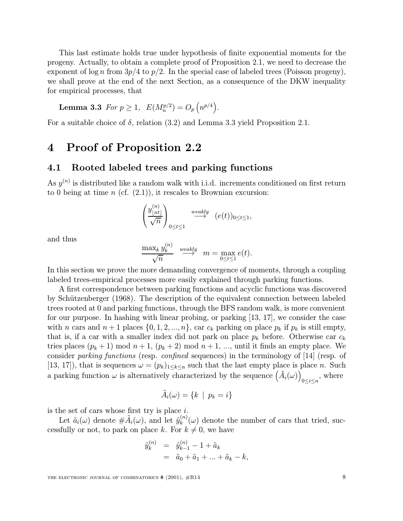This last estimate holds true under hypothesis of finite exponential moments for the progeny. Actually, to obtain a complete proof of Proposition 2.1, we need to decrease the exponent of  $\log n$  from  $3p/4$  to  $p/2$ . In the special case of labeled trees (Poisson progeny), we shall prove at the end of the next Section, as a consequence of the DKW inequality for empirical processes, that

**Lemma 3.3** For 
$$
p \ge 1
$$
,  $E(M_n^{p/2}) = O_p(n^{p/4})$ .

For a suitable choice of  $\delta$ , relation (3.2) and Lemma 3.3 yield Proposition 2.1.

### 4 Proof of Proposition 2.2

#### 4.1 Rooted labeled trees and parking functions

As  $y^{(n)}$  is distributed like a random walk with i.i.d. increments conditioned on first return to 0 being at time  $n$  (cf.  $(2.1)$ ), it rescales to Brownian excursion:

$$
\left(\frac{y_{\lfloor nt \rfloor}^{(n)}}{\sqrt{n}}\right)_{0 \le t \le 1} \stackrel{weakly}{\longrightarrow} \left(e(t)\right)_{0 \le t \le 1},
$$

and thus

$$
\frac{\max_k y_k^{(n)}}{\sqrt{n}} \stackrel{\text{weakly}}{\longrightarrow} m = \max_{0 \le t \le 1} e(t).
$$

In this section we prove the more demanding convergence of moments, through a coupling labeled trees-empirical processes more easily explained through parking functions.

A first correspondence between parking functions and acyclic functions was discovered by Schützenberger (1968). The description of the equivalent connection between labeled trees rooted at 0 and parking functions, through the BFS random walk, is more convenient for our purpose. In hashing with linear probing, or parking [13, 17], we consider the case with n cars and  $n+1$  places  $\{0, 1, 2, ..., n\}$ , car  $c_k$  parking on place  $p_k$  if  $p_k$  is still empty, that is, if a car with a smaller index did not park on place  $p_k$  before. Otherwise car  $c_k$ tries places  $(p_k + 1) \mod n + 1$ ,  $(p_k + 2) \mod n + 1$ , ..., until it finds an empty place. We consider parking functions (resp. confined sequences) in the terminology of [14] (resp. of [13, 17]), that is sequences  $\omega = (p_k)_{1 \leq k \leq n}$  such that the last empty place is place n. Such a parking function  $\omega$  is alternatively characterized by the sequence  $(\tilde{A}_i(\omega))$  $_{0\leq i\leq n}$ , where

$$
\tilde{A}_i(\omega) = \{k \mid p_k = i\}
$$

is the set of cars whose first try is place  $i$ .

Let  $\tilde{a}_i(\omega)$  denote  $\#\tilde{A}_i(\omega)$ , and let  $\tilde{y}_k^{(n)}(\omega)$  denote the number of cars that tried, successfully or not, to park on place k. For  $k \neq 0$ , we have

$$
\tilde{y}_k^{(n)} = \tilde{y}_{k-1}^{(n)} - 1 + \tilde{a}_k \n= \tilde{a}_0 + \tilde{a}_1 + \dots + \tilde{a}_k - k,
$$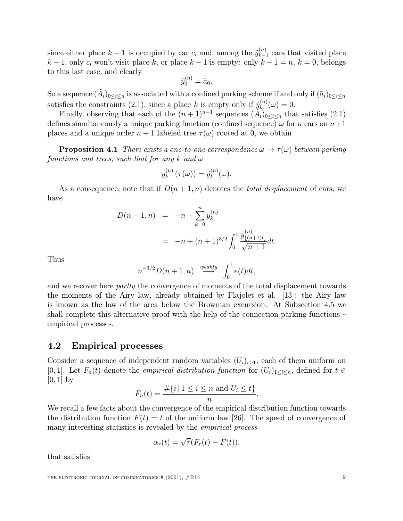since either place  $k-1$  is occupied by car  $c_i$  and, among the  $\tilde{y}_{k-1}^{(n)}$  cars that visited place  $k-1$ , only  $c_i$  won't visit place k, or place  $k-1$  is empty: only  $k-1=n$ ,  $k=0$ , belongs to this last case, and clearly

$$
\tilde{y}_0^{(n)} = \tilde{a}_0.
$$

So a sequence  $(A_i)_{0\leq i\leq n}$  is associated with a confined parking scheme if and only if  $(\tilde{a}_i)_{0\leq i\leq n}$ satisfies the constraints (2.1), since a place k is empty only if  $\tilde{y}_k^{(n)}(\omega) = 0$ .

Finally, observing that each of the  $(n+1)^{n-1}$  sequences  $(\tilde{A}_i)_{0\leq i\leq n}$  that satisfies (2.1) defines simultaneously a unique parking function (confined sequence)  $\omega$  for n cars on  $n+1$ places and a unique order  $n+1$  labeled tree  $\tau(\omega)$  rooted at 0, we obtain

**Proposition 4.1** There exists a one-to-one correspondence  $\omega \to \tau(\omega)$  between parking functions and trees, such that for any k and  $\omega$ 

$$
y_k^{(n)}(\tau(\omega)) = \tilde{y}_k^{(n)}(\omega).
$$

As a consequence, note that if  $D(n+1,n)$  denotes the *total displacement* of cars, we have

$$
D(n+1,n) = -n + \sum_{k=0}^{n} y_k^{(n)}
$$
  
= -n + (n + 1)<sup>3/2</sup>  $\int_0^1 \frac{y_{\lfloor (n+1)t \rfloor}^{(n)}}{\sqrt{n+1}} dt$ .

Thus

$$
n^{-3/2}D(n+1,n) \xrightarrow{weakly} \int_0^1 e(t)dt,
$$

and we recover here *partly* the convergence of moments of the total displacement towards the moments of the Airy law, already obtained by Flajolet et al. [13]: the Airy law is known as the law of the area below the Brownian excursion. At Subsection 4.5 we shall complete this alternative proof with the help of the connection parking functions – empirical processes.

#### 4.2 Empirical processes

Consider a sequence of independent random variables  $(U_i)_{i\geq 1}$ , each of them uniform on [0, 1]. Let  $F_n(t)$  denote the *empirical distribution function* for  $(U_i)_{1\leq i\leq n}$ , defined for  $t \in$  $[0, 1]$  by

$$
F_n(t) = \frac{\#\{i \mid 1 \le i \le n \text{ and } U_i \le t\}}{n}.
$$

We recall a few facts about the convergence of the empirical distribution function towards the distribution function  $F(t) = t$  of the uniform law [26]. The speed of convergence of many interesting statistics is revealed by the *empirical process* 

$$
\alpha_r(t) = \sqrt{r}(F_r(t) - F(t)),
$$

that satisfies

THE ELECTRONIC JOURNAL OF COMBINATORICS  $8(2001)$ ,  $#R14$   $9$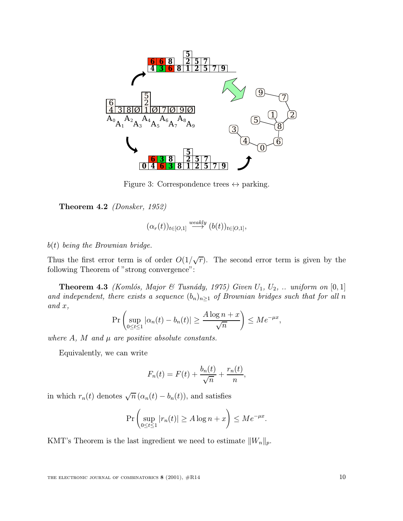

Figure 3: Correspondence trees  $\leftrightarrow$  parking.

Theorem 4.2 (Donsker, 1952)

$$
(\alpha_r(t))_{t\in [O,1]}\stackrel{weakly}{\longrightarrow} (b(t))_{t\in [O,1]},
$$

 $b(t)$  being the Brownian bridge.

Thus the first error term is of order  $O(1/\sqrt{r})$ . The second error term is given by the following Theorem of "strong convergence":

**Theorem 4.3** (Komlós, Major & Tusnády, 1975) Given  $U_1$ ,  $U_2$ , ... uniform on [0, 1] and independent, there exists a sequence  $(b_n)_{n\geq 1}$  of Brownian bridges such that for all n and x,

$$
\Pr\left(\sup_{0\leq t\leq 1}|\alpha_n(t)-b_n(t)|\geq \frac{A\log n+x}{\sqrt{n}}\right)\leq Me^{-\mu x},
$$

where  $A$ ,  $M$  and  $\mu$  are positive absolute constants.

Equivalently, we can write

$$
F_n(t) = F(t) + \frac{b_n(t)}{\sqrt{n}} + \frac{r_n(t)}{n},
$$

in which  $r_n(t)$  denotes  $\sqrt{n} (\alpha_n(t) - b_n(t))$ , and satisfies

$$
\Pr\left(\sup_{0\leq t\leq 1}|r_n(t)|\geq A\log n+x\right)\leq Me^{-\mu x}.
$$

KMT's Theorem is the last ingredient we need to estimate  $||W_n||_p$ .

THE ELECTRONIC JOURNAL OF COMBINATORICS  $8(2001)$ ,  $\#R14$  10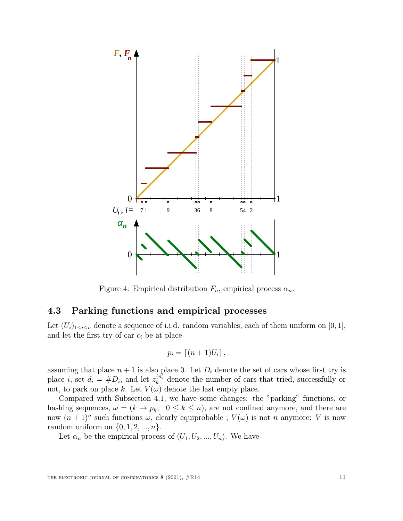

Figure 4: Empirical distribution  $F_n$ , empirical process  $\alpha_n$ .

### 4.3 Parking functions and empirical processes

Let  $(U_i)_{1\leq i\leq n}$  denote a sequence of i.i.d. random variables, each of them uniform on [0, 1], and let the first try of car  $c_i$  be at place

$$
p_i = \left\lceil (n+1)U_i \right\rceil,
$$

assuming that place  $n + 1$  is also place 0. Let  $D_i$  denote the set of cars whose first try is place *i*, set  $d_i = \#D_i$ , and let  $z_k^{(n)}$  denote the number of cars that tried, successfully or not, to park on place k. Let  $V(\omega)$  denote the last empty place.

Compared with Subsection 4.1, we have some changes: the "parking" functions, or hashing sequences,  $\omega = (k \to p_k, 0 \le k \le n)$ , are not confined anymore, and there are now  $(n + 1)^n$  such functions  $\omega$ , clearly equiprobable ;  $V(\omega)$  is not n anymore: V is now random uniform on  $\{0, 1, 2, ..., n\}$ .

Let  $\alpha_n$  be the empirical process of  $(U_1, U_2, ..., U_n)$ . We have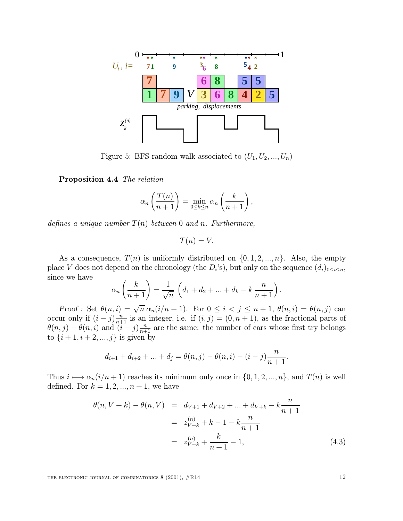

Figure 5: BFS random walk associated to  $(U_1, U_2, ..., U_n)$ 

Proposition 4.4 The relation

$$
\alpha_n\left(\frac{T(n)}{n+1}\right) = \min_{0 \le k \le n} \alpha_n\left(\frac{k}{n+1}\right),\,
$$

defines a unique number  $T(n)$  between 0 and n. Furthermore,

 $T(n) = V$ .

As a consequence,  $T(n)$  is uniformly distributed on  $\{0, 1, 2, ..., n\}$ . Also, the empty place V does not depend on the chronology (the  $D_i$ 's), but only on the sequence  $(d_i)_{0\leq i\leq n}$ , since we have

$$
\alpha_n\left(\frac{k}{n+1}\right) = \frac{1}{\sqrt{n}}\left(d_1 + d_2 + \dots + d_k - k\frac{n}{n+1}\right).
$$

Proof : Set  $\theta(n, i) = \sqrt{n} \alpha_n(i/n + 1)$ . For  $0 \leq i < j \leq n + 1$ ,  $\theta(n, i) = \theta(n, j)$  can occur only if  $(i - j)$  $\frac{n}{n+1}$  is an integer, i.e. if  $(i, j) = (0, n + 1)$ , as the fractional parts of  $\theta(n,j) - \theta(n,i)$  and  $(i-j) \frac{n}{n+1}$  are the same: the number of cars whose first try belongs to  $\{i+1, i+2, ..., j\}$  is given by

$$
d_{i+1} + d_{i+2} + \ldots + d_j = \theta(n,j) - \theta(n,i) - (i-j)\frac{n}{n+1}.
$$

Thus  $i \mapsto \alpha_n(i/n + 1)$  reaches its minimum only once in  $\{0, 1, 2, ..., n\}$ , and  $T(n)$  is well defined. For  $k = 1, 2, ..., n + 1$ , we have

$$
\theta(n, V + k) - \theta(n, V) = d_{V+1} + d_{V+2} + \dots + d_{V+k} - k \frac{n}{n+1}
$$
  
=  $z_{V+k}^{(n)} + k - 1 - k \frac{n}{n+1}$   
=  $z_{V+k}^{(n)} + \frac{k}{n+1} - 1,$  (4.3)

THE ELECTRONIC JOURNAL OF COMBINATORICS  $8(2001)$ ,  $\#R14$  12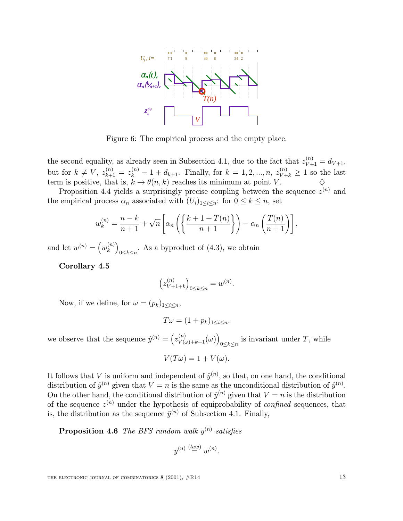

Figure 6: The empirical process and the empty place.

the second equality, as already seen in Subsection 4.1, due to the fact that  $z_{V+1}^{(n)} = d_{V+1}$ , but for  $k \neq V$ ,  $z_{k+1}^{(n)} = z_k^{(n)} - 1 + d_{k+1}$ . Finally, for  $k = 1, 2, ..., n$ ,  $z_{V+k}^{(n)} \geq 1$  so the last term is positive, that is,  $k \to \theta(n, k)$  reaches its minimum at point V.

Proposition 4.4 yields a surprisingly precise coupling between the sequence  $z^{(n)}$  and the empirical process  $\alpha_n$  associated with  $(U_i)_{1 \leq i \leq n}$ : for  $0 \leq k \leq n$ , set

$$
w_k^{(n)} = \frac{n-k}{n+1} + \sqrt{n} \left[ \alpha_n \left( \left\{ \frac{k+1+T(n)}{n+1} \right\} \right) - \alpha_n \left( \frac{T(n)}{n+1} \right) \right],
$$

and let  $w^{(n)} = (w_k^{(n)})$  $_{0 \leq k \leq n}$ . As a byproduct of (4.3), we obtain

Corollary 4.5

$$
\left(z_{V+1+k}^{(n)}\right)_{0\leq k\leq n}=w^{(n)}.
$$

Now, if we define, for  $\omega = (p_k)_{1 \leq i \leq n}$ ,

$$
T\omega = (1 + p_k)_{1 \leq i \leq n},
$$

we observe that the sequence  $\hat{y}^{(n)} = (z_{V(\omega)+k+1}^{(n)}(\omega))_{0 \le k \le n}$  is invariant under T, while

$$
V(T\omega) = 1 + V(\omega).
$$

It follows that V is uniform and independent of  $\hat{y}^{(n)}$ , so that, on one hand, the conditional distribution of  $\hat{y}^{(n)}$  given that  $V = n$  is the same as the unconditional distribution of  $\hat{y}^{(n)}$ . On the other hand, the conditional distribution of  $\hat{v}^{(n)}$  given that  $V = n$  is the distribution of the sequence  $z^{(n)}$  under the hypothesis of equiprobability of *confined* sequences, that is, the distribution as the sequence  $\tilde{y}^{(n)}$  of Subsection 4.1. Finally,

**Proposition 4.6** The BFS random walk  $y^{(n)}$  satisfies

$$
y^{(n)} \stackrel{(law)}{=} w^{(n)}.
$$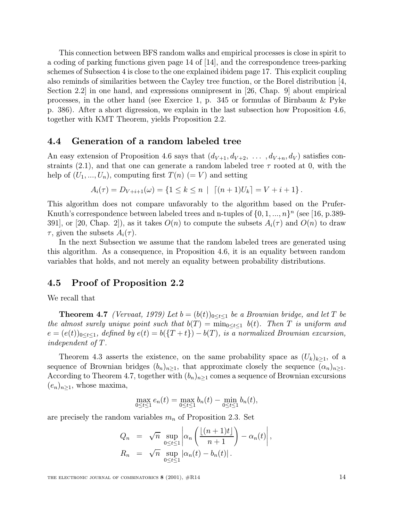This connection between BFS random walks and empirical processes is close in spirit to a coding of parking functions given page 14 of [14], and the correspondence trees-parking schemes of Subsection 4 is close to the one explained ibidem page 17. This explicit coupling also reminds of similarities between the Cayley tree function, or the Borel distribution [4, Section 2.2] in one hand, and expressions omnipresent in [26, Chap. 9] about empirical processes, in the other hand (see Exercice 1, p. 345 or formulas of Birnbaum & Pyke p. 386). After a short digression, we explain in the last subsection how Proposition 4.6, together with KMT Theorem, yields Proposition 2.2.

#### 4.4 Generation of a random labeled tree

An easy extension of Proposition 4.6 says that  $(d_{V+1}, d_{V+2}, \ldots, d_{V+n}, d_V)$  satisfies constraints (2.1), and that one can generate a random labeled tree  $\tau$  rooted at 0, with the help of  $(U_1, ..., U_n)$ , computing first  $T(n) (= V)$  and setting

$$
A_i(\tau) = D_{V+i+1}(\omega) = \{1 \leq k \leq n \mid \lceil (n+1)U_k \rceil = V+i+1 \}.
$$

This algorithm does not compare unfavorably to the algorithm based on the Prufer-Knuth's correspondence between labeled trees and n-tuples of  $\{0, 1, ..., n\}^n$  (see [16, p.389-391, or [20, Chap. 2]), as it takes  $O(n)$  to compute the subsets  $A_i(\tau)$  and  $O(n)$  to draw  $\tau$ , given the subsets  $A_i(\tau)$ .

In the next Subsection we assume that the random labeled trees are generated using this algorithm. As a consequence, in Proposition 4.6, it is an equality between random variables that holds, and not merely an equality between probability distributions.

#### 4.5 Proof of Proposition 2.2

We recall that

**Theorem 4.7** (Vervaat, 1979) Let  $b = (b(t))_{0 \le t \le 1}$  be a Brownian bridge, and let T be the almost surely unique point such that  $b(T) = \min_{0 \leq t \leq 1} b(t)$ . Then T is uniform and  $e = (e(t))_{0 \le t \le 1}$ , defined by  $e(t) = b({T + t}) - b(T)$ , is a normalized Brownian excursion, independent of T.

Theorem 4.3 asserts the existence, on the same probability space as  $(U_k)_{k>1}$ , of a sequence of Brownian bridges  $(b_n)_{n\geq 1}$ , that approximate closely the sequence  $(\alpha_n)_{n\geq 1}$ . According to Theorem 4.7, together with  $(b_n)_{n\geq 1}$  comes a sequence of Brownian excursions  $(e_n)_{n\geq 1}$ , whose maxima,

$$
\max_{0 \le t \le 1} e_n(t) = \max_{0 \le t \le 1} b_n(t) - \min_{0 \le t \le 1} b_n(t),
$$

are precisely the random variables  $m_n$  of Proposition 2.3. Set

$$
Q_n = \sqrt{n} \sup_{0 \le t \le 1} \left| \alpha_n \left( \frac{\lfloor (n+1)t \rfloor}{n+1} \right) - \alpha_n(t) \right|,
$$
  
\n
$$
R_n = \sqrt{n} \sup_{0 \le t \le 1} |\alpha_n(t) - b_n(t)|.
$$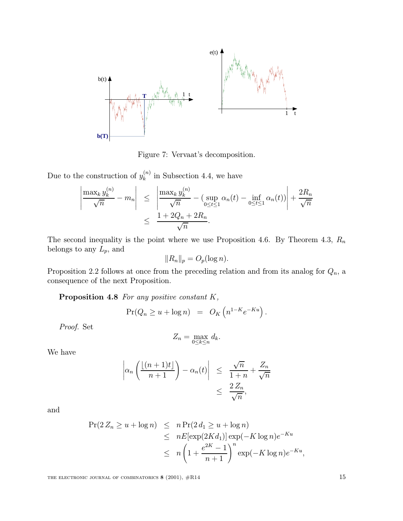

Figure 7: Vervaat's decomposition.

Due to the construction of  $y_k^{(n)}$  in Subsection 4.4, we have

$$
\left|\frac{\max_k y_k^{(n)}}{\sqrt{n}} - m_n\right| \le \left|\frac{\max_k y_k^{(n)}}{\sqrt{n}} - \left(\sup_{0 \le t \le 1} \alpha_n(t) - \inf_{0 \le t \le 1} \alpha_n(t)\right)\right| + \frac{2R_n}{\sqrt{n}} \le \frac{1 + 2Q_n + 2R_n}{\sqrt{n}}.
$$

The second inequality is the point where we use Proposition 4.6. By Theorem 4.3,  $R_n$ belongs to any  $L_p$ , and

$$
||R_n||_p = O_p(\log n).
$$

Proposition 2.2 follows at once from the preceding relation and from its analog for  $Q_n$ , a consequence of the next Proposition.

Proposition 4.8 For any positive constant K,

$$
Pr(Q_n \ge u + \log n) = O_K\left(n^{1-K}e^{-Ku}\right).
$$

Proof. Set

$$
Z_n = \max_{0 \le k \le n} d_k.
$$

We have

$$
\left| \alpha_n \left( \frac{\lfloor (n+1)t \rfloor}{n+1} \right) - \alpha_n(t) \right| \leq \frac{\sqrt{n}}{1+n} + \frac{Z_n}{\sqrt{n}} \leq \frac{2Z_n}{\sqrt{n}},
$$

and

$$
\begin{aligned} \Pr(2 Z_n \ge u + \log n) &\le n \Pr(2 d_1 \ge u + \log n) \\ &\le n E[\exp(2Kd_1)] \exp(-K \log n) e^{-Ku} \\ &\le n \left(1 + \frac{e^{2K} - 1}{n+1}\right)^n \exp(-K \log n) e^{-Ku}, \end{aligned}
$$

THE ELECTRONIC JOURNAL OF COMBINATORICS  $8(2001)$ ,  $#R14$  15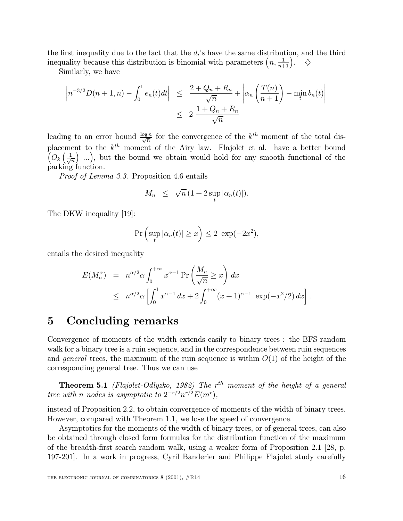the first inequality due to the fact that the  $d_i$ 's have the same distribution, and the third inequality because this distribution is binomial with parameters  $\left(n, \frac{1}{n+1}\right)$ .  $\diamondsuit$ 

Similarly, we have

$$
\left|n^{-3/2}D(n+1,n)-\int_0^1e_n(t)dt\right| \leq \left|\frac{2+Q_n+R_n}{\sqrt{n}}+\left|\alpha_n\left(\frac{T(n)}{n+1}\right)-\min_{t}b_n(t)\right|\right|
$$
  

$$
\leq 2\frac{1+Q_n+R_n}{\sqrt{n}}
$$

leading to an error bound  $\frac{\log n}{\sqrt{n}}$  for the convergence of the  $k^{th}$  moment of the total displacement to the k  $\sqrt{2}$ th moment of the Airy law. Flajolet et al. have a better bound  $O_k\left(\frac{1}{\sqrt{k}}\right)$  $\left(\frac{1}{n}\right)$  ...), but the bound we obtain would hold for any smooth functional of the parking function.

Proof of Lemma 3.3. Proposition 4.6 entails

$$
M_n \leq \sqrt{n} \left(1 + 2 \sup_t |\alpha_n(t)|\right).
$$

The DKW inequality [19]:

$$
\Pr\left(\sup_t |\alpha_n(t)| \ge x\right) \le 2 \exp(-2x^2),
$$

entails the desired inequality

$$
E(M_n^{\alpha}) = n^{\alpha/2} \alpha \int_0^{+\infty} x^{\alpha-1} \Pr\left(\frac{M_n}{\sqrt{n}} \ge x\right) dx
$$
  
 
$$
\le n^{\alpha/2} \alpha \left[ \int_0^1 x^{\alpha-1} dx + 2 \int_0^{+\infty} (x+1)^{\alpha-1} \exp(-x^2/2) dx \right].
$$

## 5 Concluding remarks

Convergence of moments of the width extends easily to binary trees : the BFS random walk for a binary tree is a ruin sequence, and in the correspondence between ruin sequences and general trees, the maximum of the ruin sequence is within  $O(1)$  of the height of the corresponding general tree. Thus we can use

**Theorem 5.1** (Flajolet-Odlyzko, 1982) The  $r^{th}$  moment of the height of a general tree with n nodes is asymptotic to  $2^{-r/2}n^{r/2}E(m^r)$ ,

instead of Proposition 2.2, to obtain convergence of moments of the width of binary trees. However, compared with Theorem 1.1, we lose the speed of convergence.

Asymptotics for the moments of the width of binary trees, or of general trees, can also be obtained through closed form formulas for the distribution function of the maximum of the breadth-first search random walk, using a weaker form of Proposition 2.1 [28, p. 197-201]. In a work in progress, Cyril Banderier and Philippe Flajolet study carefully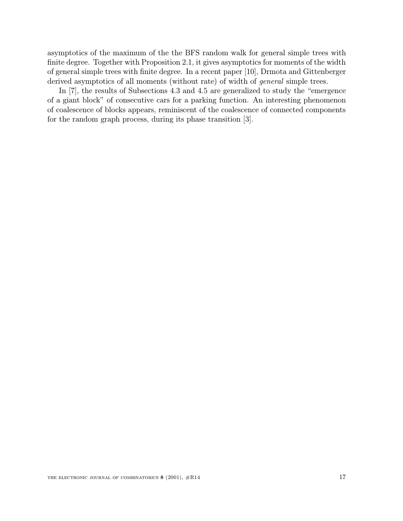asymptotics of the maximum of the the BFS random walk for general simple trees with finite degree. Together with Proposition 2.1, it gives asymptotics for moments of the width of general simple trees with finite degree. In a recent paper [10], Drmota and Gittenberger derived asymptotics of all moments (without rate) of width of *general* simple trees.

In [7], the results of Subsections 4.3 and 4.5 are generalized to study the "emergence of a giant block" of consecutive cars for a parking function. An interesting phenomenon of coalescence of blocks appears, reminiscent of the coalescence of connected components for the random graph process, during its phase transition [3].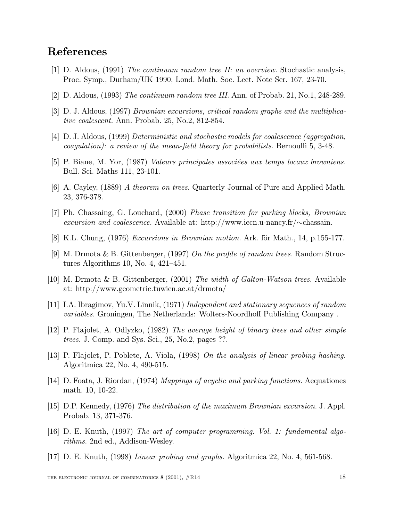# References

- [1] D. Aldous, (1991) The continuum random tree II: an overview. Stochastic analysis, Proc. Symp., Durham/UK 1990, Lond. Math. Soc. Lect. Note Ser. 167, 23-70.
- [2] D. Aldous, (1993) The continuum random tree III. Ann. of Probab. 21, No.1, 248-289.
- [3] D. J. Aldous, (1997) Brownian excursions, critical random graphs and the multiplicative coalescent. Ann. Probab. 25, No.2, 812-854.
- [4] D. J. Aldous, (1999) Deterministic and stochastic models for coalescence (aggregation, coagulation): a review of the mean-field theory for probabilists. Bernoulli 5, 3-48.
- [5] P. Biane, M. Yor, (1987) *Valeurs principales associées aux temps locaux browniens.* Bull. Sci. Maths 111, 23-101.
- [6] A. Cayley, (1889) A theorem on trees. Quarterly Journal of Pure and Applied Math. 23, 376-378.
- [7] Ph. Chassaing, G. Louchard, (2000) Phase transition for parking blocks, Brownian excursion and coalescence. Available at: http://www.iecn.u-nancy.fr/∼chassain.
- [8] K.L. Chung,  $(1976)$  Excursions in Brownian motion. Ark. för Math., 14, p.155-177.
- [9] M. Drmota & B. Gittenberger, (1997) On the profile of random trees. Random Structures Algorithms 10, No. 4, 421–451.
- [10] M. Drmota & B. Gittenberger, (2001) The width of Galton-Watson trees. Available at: http://www.geometrie.tuwien.ac.at/drmota/
- [11] I.A. Ibragimov, Yu.V. Linnik, (1971) Independent and stationary sequences of random variables. Groningen, The Netherlands: Wolters-Noordhoff Publishing Company .
- [12] P. Flajolet, A. Odlyzko, (1982) The average height of binary trees and other simple trees. J. Comp. and Sys. Sci., 25, No.2, pages ??.
- [13] P. Flajolet, P. Poblete, A. Viola, (1998) On the analysis of linear probing hashing. Algoritmica 22, No. 4, 490-515.
- [14] D. Foata, J. Riordan, (1974) Mappings of acyclic and parking functions. Aequationes math. 10, 10-22.
- [15] D.P. Kennedy, (1976) The distribution of the maximum Brownian excursion. J. Appl. Probab. 13, 371-376.
- [16] D. E. Knuth, (1997) The art of computer programming. Vol. 1: fundamental algorithms. 2nd ed., Addison-Wesley.
- [17] D. E. Knuth, (1998) Linear probing and graphs. Algoritmica 22, No. 4, 561-568.